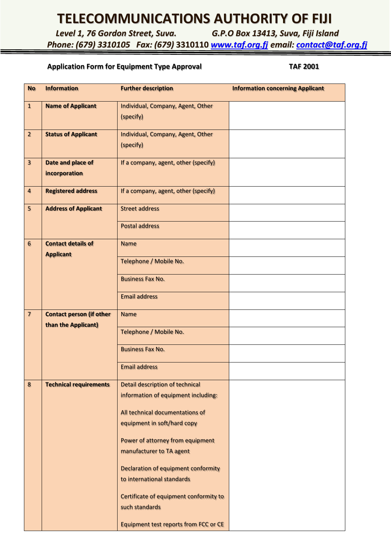## **TELECOMMUNICATIONS AUTHORITY OF FIJI**

*Level 1, 76 Gordon Street, Suva. G.P.O Box 13413, Suva, Fiji Island*

*Phone: (679) 3310105 Fax: (679)* **3310110** *[www.taf.org.fj](http://www.taf.org.fj/) email: [contact@taf.org.fj](mailto:contact@taf.org.fj)*

## **Application Form for Equipment Type Approval TAF 2001**

| <b>No</b>                | <b>Information</b>                                     | <b>Further description</b>                               | <b>Information concerning Applicant</b> |
|--------------------------|--------------------------------------------------------|----------------------------------------------------------|-----------------------------------------|
| $\mathbf{1}$             | <b>Name of Applicant</b>                               | Individual, Company, Agent, Other<br>(specify)           |                                         |
| $\overline{2}$           | <b>Status of Applicant</b>                             | Individual, Company, Agent, Other                        |                                         |
|                          |                                                        | (specify)                                                |                                         |
| $\overline{\mathbf{3}}$  | Date and place of<br>incorporation                     | If a company, agent, other (specify)                     |                                         |
| $\overline{\mathbf{4}}$  | <b>Registered address</b>                              | If a company, agent, other (specify)                     |                                         |
| 5                        | <b>Address of Applicant</b>                            | <b>Street address</b>                                    |                                         |
|                          |                                                        | <b>Postal address</b>                                    |                                         |
| 6                        | <b>Contact details of</b><br><b>Applicant</b>          | <b>Name</b>                                              |                                         |
|                          |                                                        | Telephone / Mobile No.                                   |                                         |
|                          |                                                        | <b>Business Fax No.</b>                                  |                                         |
|                          |                                                        | <b>Email address</b>                                     |                                         |
| $\overline{\mathcal{L}}$ | <b>Contact person (if other</b><br>than the Applicant) | <b>Name</b>                                              |                                         |
|                          |                                                        | Telephone / Mobile No.                                   |                                         |
|                          |                                                        | <b>Business Fax No.</b>                                  |                                         |
|                          |                                                        | <b>Email address</b>                                     |                                         |
| 8                        | <b>Technical requirements</b>                          | Detail description of technical                          |                                         |
|                          |                                                        | information of equipment including:                      |                                         |
|                          |                                                        | All technical documentations of                          |                                         |
|                          |                                                        | equipment in soft/hard copy                              |                                         |
|                          |                                                        | Power of attorney from equipment                         |                                         |
|                          |                                                        | manufacturer to TA agent                                 |                                         |
|                          |                                                        | Declaration of equipment conformity                      |                                         |
|                          |                                                        | to international standards                               |                                         |
|                          |                                                        | Certificate of equipment conformity to<br>such standards |                                         |
|                          |                                                        | <b>Equipment test reports from FCC or CE</b>             |                                         |